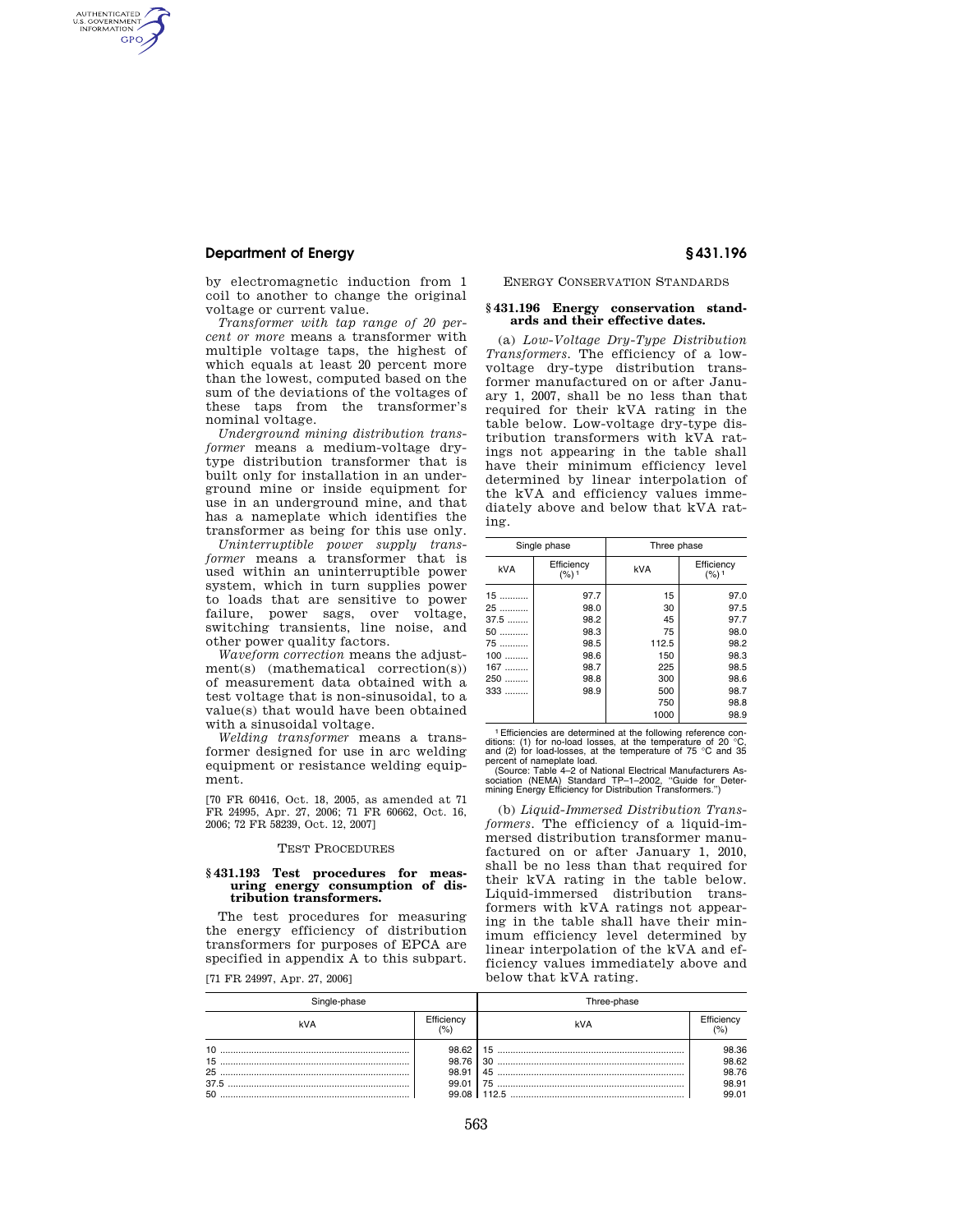# **Department of Energy § 431.196**

AUTHENTICATED<br>U.S. GOVERNMENT<br>INFORMATION **GPO** 

> by electromagnetic induction from 1 coil to another to change the original voltage or current value.

*Transformer with tap range of 20 percent or more* means a transformer with multiple voltage taps, the highest of which equals at least 20 percent more than the lowest, computed based on the sum of the deviations of the voltages of these taps from the transformer's nominal voltage.

*Underground mining distribution transformer* means a medium-voltage drytype distribution transformer that is built only for installation in an underground mine or inside equipment for use in an underground mine, and that has a nameplate which identifies the transformer as being for this use only.

*Uninterruptible power supply transformer* means a transformer that is used within an uninterruptible power system, which in turn supplies power to loads that are sensitive to power failure, power sags, over voltage, switching transients, line noise, and other power quality factors.

*Waveform correction* means the adjustment(s) (mathematical correction(s)) of measurement data obtained with a test voltage that is non-sinusoidal, to a value(s) that would have been obtained with a sinusoidal voltage.

*Welding transformer* means a transformer designed for use in arc welding equipment or resistance welding equipment.

[70 FR 60416, Oct. 18, 2005, as amended at 71 FR 24995, Apr. 27, 2006; 71 FR 60662, Oct. 16, 2006; 72 FR 58239, Oct. 12, 2007]

#### TEST PROCEDURES

### **§ 431.193 Test procedures for measuring energy consumption of distribution transformers.**

The test procedures for measuring the energy efficiency of distribution transformers for purposes of EPCA are specified in appendix A to this subpart.

[71 FR 24997, Apr. 27, 2006]

ENERGY CONSERVATION STANDARDS

#### **§ 431.196 Energy conservation standards and their effective dates.**

(a) *Low-Voltage Dry-Type Distribution Transformers.* The efficiency of a lowvoltage dry-type distribution transformer manufactured on or after January 1, 2007, shall be no less than that required for their kVA rating in the table below. Low-voltage dry-type distribution transformers with kVA ratings not appearing in the table shall have their minimum efficiency level determined by linear interpolation of the kVA and efficiency values immediately above and below that kVA rating.

|          | Single phase                   | Three phase |                                |
|----------|--------------------------------|-------------|--------------------------------|
| kVA      | Efficiency<br>(%) <sup>1</sup> | <b>kVA</b>  | Efficiency<br>(%) <sup>1</sup> |
| 15       | 97.7                           | 15          | 97.0                           |
| 25       | 98.0                           | 30          | 97.5                           |
| 37.5     | 98.2                           | 45          | 97.7                           |
| 50       | 98.3                           | 75          | 98.0                           |
| 75       | 98.5                           | 112.5       | 98.2                           |
| 100<br>. | 98.6                           | 150         | 98.3                           |
| 167<br>. | 98.7                           | 225         | 98.5                           |
| 250<br>. | 98.8                           | 300         | 98.6                           |
| 333      | 98.9                           | 500         | 98.7                           |
|          |                                | 750         | 98.8                           |
|          |                                | 1000        | 98.9                           |

1Efficiencies are determined at the following reference con-ditions: (1) for no-load losses, at the temperature of 20 °C, and (2) for load-losses, at the temperature of 75 °C and 35 percent of nameplate load.

(Source: Table 4–2 of National Electrical Manufacturers As-sociation (NEMA) Standard TP–1–2002, ''Guide for Deter-mining Energy Efficiency for Distribution Transformers.'')

(b) *Liquid-Immersed Distribution Transformers.* The efficiency of a liquid-immersed distribution transformer manufactured on or after January 1, 2010, shall be no less than that required for their kVA rating in the table below. Liquid-immersed distribution transformers with kVA ratings not appearing in the table shall have their minimum efficiency level determined by linear interpolation of the kVA and efficiency values immediately above and below that kVA rating.

|     |                                  | I hree-phase |                                           |  |
|-----|----------------------------------|--------------|-------------------------------------------|--|
| kVA | Efficiency                       | kVA          | Efficienc                                 |  |
| 50  | 98.62<br>98.76<br>98.91<br>99.01 |              | 98.36<br>98.62<br>98.76<br>98.91<br>99.01 |  |